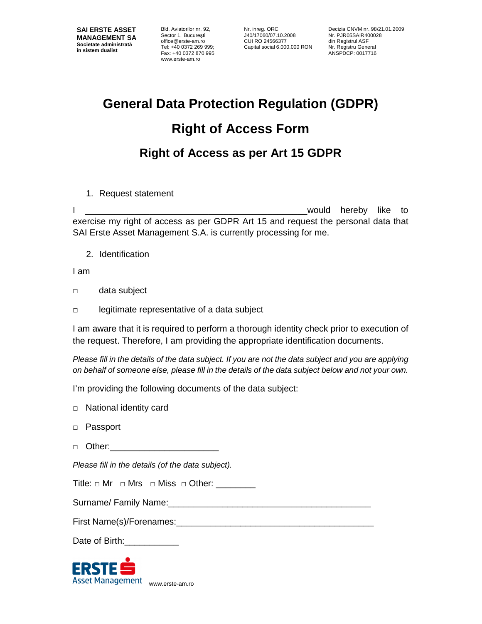Bld. Aviatorilor nr. 92, Sector 1, Bucureşti office@erste-am.ro Tel: +40 0372 269 999; Fax: +40 0372 870 995 www.erste-am.ro

Nr. inreg. ORC J40/17060/07.10.2008 CUI RO 24566377 Capital social 6.000.000 RON

Decizia CNVM nr. 98/21.01.2009 Nr. PJR05SAIR400028 din Registrul ASF Nr. Registru General ANSPDCP: 0017716

## **General Data Protection Regulation (GDPR) Right of Access Form Right of Access as per Art 15 GDPR**

1. Request statement

I are the state of the state of the state of the state of the state of the state of the state of the state of the state of the state of the state of the state of the state of the state of the state of the state of the stat exercise my right of access as per GDPR Art 15 and request the personal data that SAI Erste Asset Management S.A. is currently processing for me.

2. Identification

I am

- □ data subject
- □ legitimate representative of a data subject

I am aware that it is required to perform a thorough identity check prior to execution of the request. Therefore, I am providing the appropriate identification documents.

Please fill in the details of the data subject. If you are not the data subject and you are applying on behalf of someone else, please fill in the details of the data subject below and not your own.

I'm providing the following documents of the data subject:

- □ National identity card
- □ Passport
- □ Other:\_\_\_\_\_\_\_\_\_\_\_\_\_\_\_\_\_\_\_\_\_\_

Please fill in the details (of the data subject).

Surname/ Family Name:\_\_\_\_\_\_\_\_\_\_\_\_\_\_\_\_\_\_\_\_\_\_\_\_\_\_\_\_\_\_\_\_\_\_\_\_\_\_\_\_\_

First Name(s)/Forenames:

Date of Birth:

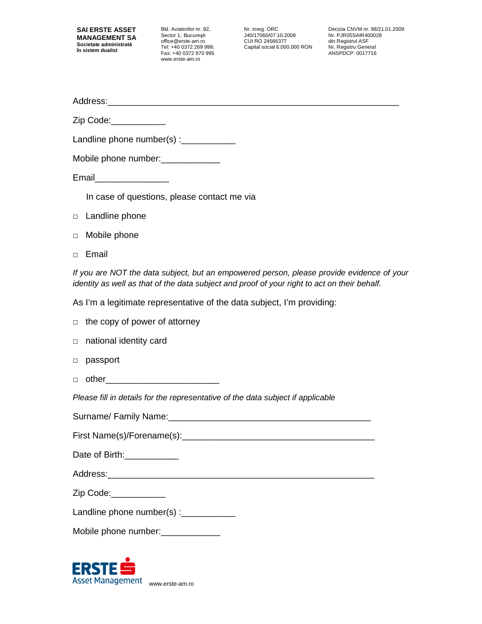Bld. Aviatorilor nr. 92, Sector 1, Bucureşti office@erste-am.ro Tel: +40 0372 269 999; Fax: +40 0372 870 995 www.erste-am.ro

Nr. inreg. ORC J40/17060/07.10.2008 CUI RO 24566377 Capital social 6.000.000 RON

Decizia CNVM nr. 98/21.01.2009 Nr. PJR05SAIR400028 din Registrul ASF Nr. Registru General ANSPDCP: 0017716

Address:

Zip Code:\_\_\_\_\_\_\_\_\_\_\_

Landline phone number(s) :\_\_\_\_\_\_\_\_\_\_\_\_\_\_

| Mobile phone number: |  |
|----------------------|--|
|----------------------|--|

Email\_\_\_\_\_\_\_\_\_\_\_\_\_\_\_

In case of questions, please contact me via

- □ Landline phone
- □ Mobile phone
- □ Email

If you are NOT the data subject, but an empowered person, please provide evidence of your identity as well as that of the data subject and proof of your right to act on their behalf.

As I'm a legitimate representative of the data subject, I'm providing:

|                                                                                 | $\Box$ the copy of power of attorney |  |  |  |
|---------------------------------------------------------------------------------|--------------------------------------|--|--|--|
|                                                                                 | $\Box$ national identity card        |  |  |  |
| $\Box$                                                                          | passport                             |  |  |  |
|                                                                                 |                                      |  |  |  |
| Please fill in details for the representative of the data subject if applicable |                                      |  |  |  |
|                                                                                 |                                      |  |  |  |
|                                                                                 |                                      |  |  |  |
| Date of Birth:                                                                  |                                      |  |  |  |
|                                                                                 |                                      |  |  |  |
|                                                                                 | Zip Code:                            |  |  |  |

| Landline phone number(s) : |  |
|----------------------------|--|
|----------------------------|--|

|  | Mobile phone number: |
|--|----------------------|
|--|----------------------|

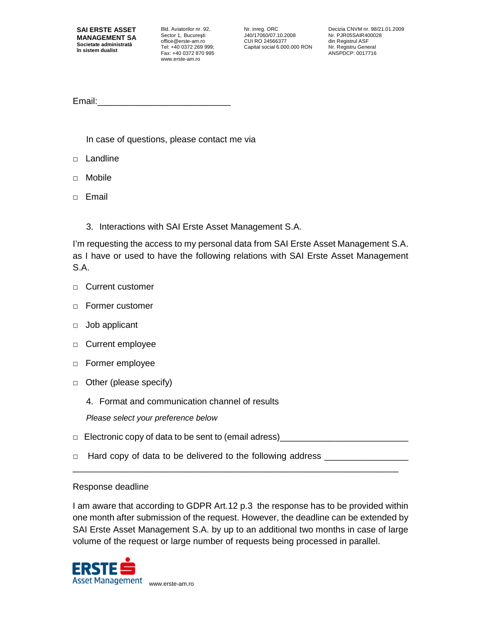Bld. Aviatorilor nr. 92, Sector 1, Bucureşti office@erste-am.ro Tel: +40 0372 269 999; Fax: +40 0372 870 995 www.erste-am.ro

Nr. inreg. ORC J40/17060/07.10.2008 CUI RO 24566377 Capital social 6.000.000 RON Decizia CNVM nr. 98/21.01.2009 Nr. PJR05SAIR400028 din Registrul ASF Nr. Registru General ANSPDCP: 0017716

Email:

In case of questions, please contact me via

- □ Landline
- □ Mobile
- □ Email
	- 3. Interactions with SAI Erste Asset Management S.A.

I'm requesting the access to my personal data from SAI Erste Asset Management S.A. as I have or used to have the following relations with SAI Erste Asset Management S.A.

- □ Current customer
- □ Former customer
- □ Job applicant
- □ Current employee
- □ Former employee
- □ Other (please specify)
	- 4. Format and communication channel of results

Please select your preference below

 $\Box$  Electronic copy of data to be sent to (email adress)

\_\_\_\_\_\_\_\_\_\_\_\_\_\_\_\_\_\_\_\_\_\_\_\_\_\_\_\_\_\_\_\_\_\_\_\_\_\_\_\_\_\_\_\_\_\_\_\_\_\_\_\_\_\_\_\_\_\_\_\_\_\_\_\_\_\_

 $\Box$  Hard copy of data to be delivered to the following address  $\Box$ 

## Response deadline

I am aware that according to GDPR Art.12 p.3 the response has to be provided within one month after submission of the request. However, the deadline can be extended by SAI Erste Asset Management S.A. by up to an additional two months in case of large volume of the request or large number of requests being processed in parallel.

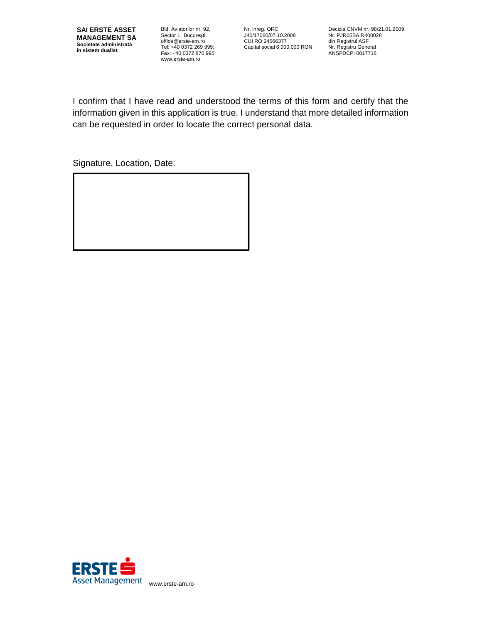Bld. Aviatorilor nr. 92, Sector 1, Bucureşti office@erste-am.ro Tel: +40 0372 269 999; Fax: +40 0372 870 995 www.erste-am.ro

Nr. inreg. ORC J40/17060/07.10.2008 CUI RO 24566377 Capital social 6.000.000 RON

Decizia CNVM nr. 98/21.01.2009 Nr. PJR05SAIR400028 din Registrul ASF Nr. Registru General ANSPDCP: 0017716

I confirm that I have read and understood the terms of this form and certify that the information given in this application is true. I understand that more detailed information can be requested in order to locate the correct personal data.

Signature, Location, Date: